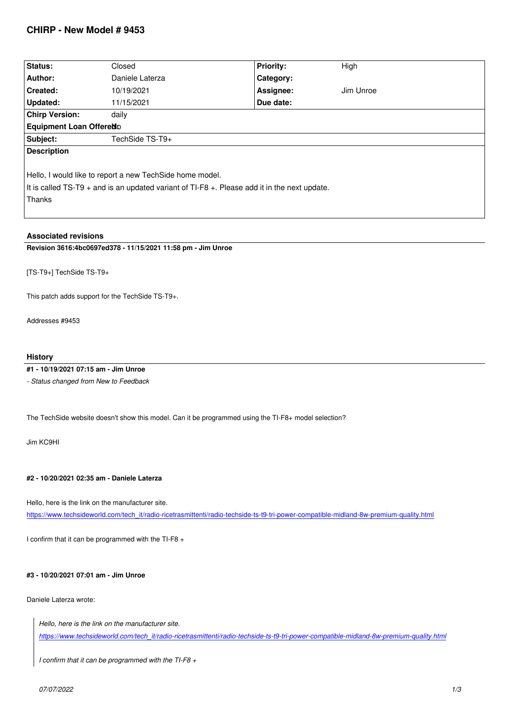| Status:                                                                                                                                                                 | Closed          | <b>Priority:</b> | High      |
|-------------------------------------------------------------------------------------------------------------------------------------------------------------------------|-----------------|------------------|-----------|
| Author:                                                                                                                                                                 | Daniele Laterza | Category:        |           |
| Created:                                                                                                                                                                | 10/19/2021      | Assignee:        | Jim Unroe |
| Updated:                                                                                                                                                                | 11/15/2021      | Due date:        |           |
| <b>Chirp Version:</b>                                                                                                                                                   | daily           |                  |           |
| Equipment Loan Offered D                                                                                                                                                |                 |                  |           |
| Subject:                                                                                                                                                                | TechSide TS-T9+ |                  |           |
| <b>Description</b>                                                                                                                                                      |                 |                  |           |
| Hello, I would like to report a new Tech Side home model.<br>It is called $TS-T9$ + and is an updated variant of $TI-F8$ +. Please add it in the next update.<br>Thanks |                 |                  |           |

# **Associated revisions**

**Revision 3616:4bc0697ed378 - 11/15/2021 11:58 pm - Jim Unroe** 

*[TS-T9+] TechSide TS-T9+*

*This patch adds support for the TechSide TS-T9+.*

*Addresses #9453*

## **History**

## **#1 - 10/19/2021 07:15 am - Jim Unroe**

*- Status changed from New to Feedback*

*The TechSide website doesn't show this model. Can it be programmed using the TI-F8+ model selection?*

*Jim KC9HI*

#### **#2 - 10/20/2021 02:35 am - Daniele Laterza**

*Hello, here is the link on the manufacturer site.*

*https://www.techsideworld.com/tech\_it/radio-ricetrasmittenti/radio-techside-ts-t9-tri-power-compatible-midland-8w-premium-quality.html*

*I confirm that it can be programmed with the TI-F8 +*

## **#3 - 10/20/2021 07:01 am - Jim Unroe**

### *Daniele Laterza wrote:*

*Hello, here is the link on the manufacturer site. https://www.techsideworld.com/tech\_it/radio-ricetrasmittenti/radio-techside-ts-t9-tri-power-compatible-midland-8w-premium-quality.html*

*I confirm that it can be programmed with the TI-F8 +*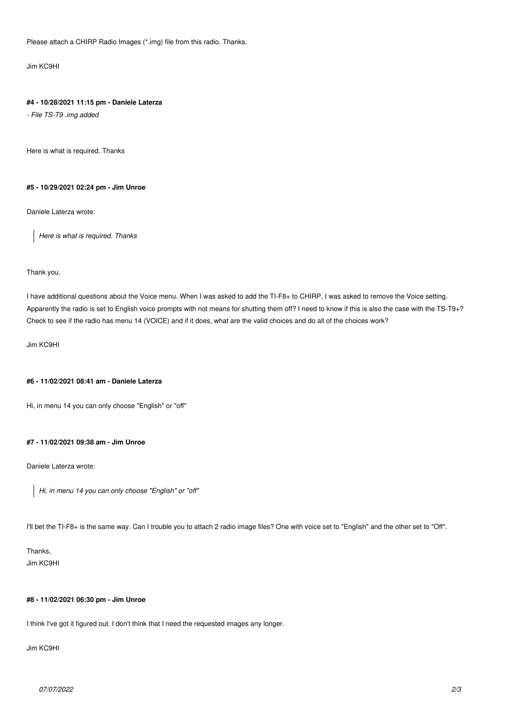*Please attach a CHIRP Radio Images (\*.img) file from this radio. Thanks.*

*Jim KC9HI*

#### **#4 - 10/28/2021 11:15 pm - Daniele Laterza**

*- File TS-T9 .img added*

*Here is what is required. Thanks*

#### **#5 - 10/29/2021 02:24 pm - Jim Unroe**

*Daniele Laterza wrote:*

*Here is what is required. Thanks*

### *Thank you.*

*I have additional questions about the Voice menu. When I was asked to add the TI-F8+ to CHIRP, I was asked to remove the Voice setting. Apparently the radio is set to English voice prompts with not means for shutting them off? I need to know if this is also the case with the TS-T9+? Check to see if the radio has menu 14 (VOICE) and if it does, what are the valid choices and do all of the choices work?*

*Jim KC9HI*

### **#6 - 11/02/2021 08:41 am - Daniele Laterza**

*Hi, in menu 14 you can only choose "English" or "off"*

#### **#7 - 11/02/2021 09:38 am - Jim Unroe**

*Daniele Laterza wrote:*

*Hi, in menu 14 you can only choose "English" or "off"*

*I'll bet the TI-F8+ is the same way. Can I trouble you to attach 2 radio image files? One with voice set to "English" and the other set to "Off".*

*Thanks, Jim KC9HI*

#### **#8 - 11/02/2021 06:30 pm - Jim Unroe**

*I think I've got it figured out. I don't think that I need the requested images any longer.*

*Jim KC9HI*